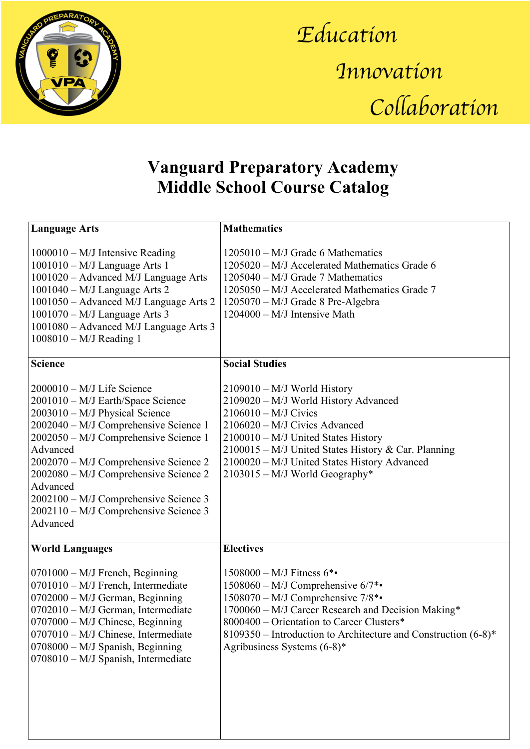

*Education Innovation Collaboration*

## **Vanguard Preparatory Academy Middle School Course Catalog**

| <b>Language Arts</b>                                                                                                                                                                                                                                                                                                                                                                          | <b>Mathematics</b>                                                                                                                                                                                                                                                                                               |
|-----------------------------------------------------------------------------------------------------------------------------------------------------------------------------------------------------------------------------------------------------------------------------------------------------------------------------------------------------------------------------------------------|------------------------------------------------------------------------------------------------------------------------------------------------------------------------------------------------------------------------------------------------------------------------------------------------------------------|
| $1000010 - M/J$ Intensive Reading<br>$1001010 - M/J$ Language Arts 1<br>1001020 - Advanced M/J Language Arts<br>$1001040 - M/J$ Language Arts 2<br>1001050 - Advanced M/J Language Arts 2<br>1001070 - M/J Language Arts 3<br>1001080 - Advanced M/J Language Arts 3<br>$1008010 - M/J$ Reading 1                                                                                             | $1205010 - M/J$ Grade 6 Mathematics<br>1205020 - M/J Accelerated Mathematics Grade 6<br>1205040 - M/J Grade 7 Mathematics<br>1205050 – M/J Accelerated Mathematics Grade 7<br>1205070 - M/J Grade 8 Pre-Algebra<br>1204000 - M/J Intensive Math                                                                  |
| <b>Science</b>                                                                                                                                                                                                                                                                                                                                                                                | <b>Social Studies</b>                                                                                                                                                                                                                                                                                            |
| $2000010 - M/J$ Life Science<br>2001010 - M/J Earth/Space Science<br>2003010 - M/J Physical Science<br>2002040 - M/J Comprehensive Science 1<br>2002050 - M/J Comprehensive Science 1<br>Advanced<br>2002070 - M/J Comprehensive Science 2<br>2002080 – M/J Comprehensive Science 2<br>Advanced<br>2002100 - M/J Comprehensive Science 3<br>2002110 - M/J Comprehensive Science 3<br>Advanced | $2109010 - M/J$ World History<br>2109020 - M/J World History Advanced<br>$2106010 - M/J$ Civics<br>2106020 - M/J Civics Advanced<br>2100010 - M/J United States History<br>2100015 - M/J United States History & Car. Planning<br>2100020 - M/J United States History Advanced<br>2103015 - M/J World Geography* |
| <b>World Languages</b>                                                                                                                                                                                                                                                                                                                                                                        | <b>Electives</b>                                                                                                                                                                                                                                                                                                 |
| 0701000 - M/J French, Beginning<br>0701010 - M/J French, Intermediate<br>$0702000 - M/J$ German, Beginning<br>0702010 - M/J German, Intermediate<br>0707000 - M/J Chinese, Beginning<br>0707010 - M/J Chinese, Intermediate<br>$0708000 - M/J$ Spanish, Beginning<br>$0708010 - M/J$ Spanish, Intermediate                                                                                    | 1508000 - M/J Fitness 6*•<br>$1508060 - M/J$ Comprehensive $6/7$ *•<br>1508070 - M/J Comprehensive 7/8*•<br>1700060 - M/J Career Research and Decision Making*<br>8000400 – Orientation to Career Clusters*<br>8109350 – Introduction to Architecture and Construction (6-8)*<br>Agribusiness Systems $(6-8)^*$  |